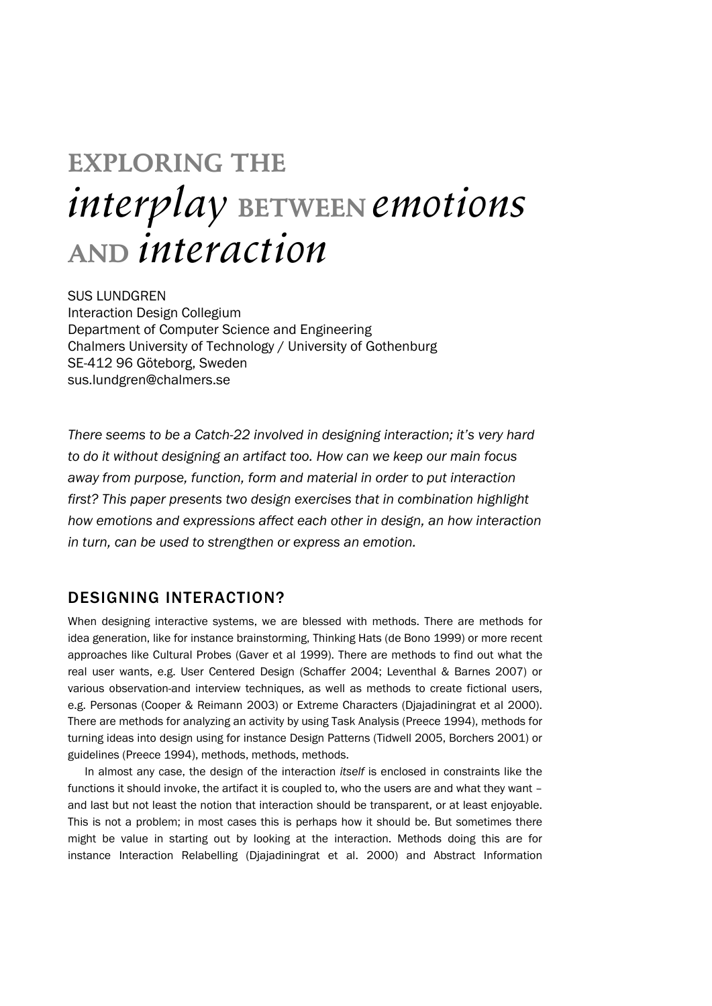# **EXPLORING THE** *interplay* **BETWEEN** *emotions* **AND** *interaction*

SUS LUNDGREN Interaction Design Collegium Department of Computer Science and Engineering Chalmers University of Technology / University of Gothenburg SE-412 96 Göteborg, Sweden sus.lundgren@chalmers.se

*There seems to be a Catch-22 involved in designing interaction; it's very hard to do it without designing an artifact too. How can we keep our main focus away from purpose, function, form and material in order to put interaction first? This paper presents two design exercises that in combination highlight how emotions and expressions affect each other in design, an how interaction in turn, can be used to strengthen or express an emotion.* 

## DESIGNING INTERACTION?

When designing interactive systems, we are blessed with methods. There are methods for idea generation, like for instance brainstorming, Thinking Hats (de Bono 1999) or more recent approaches like Cultural Probes (Gaver et al 1999). There are methods to find out what the real user wants, e.g. User Centered Design (Schaffer 2004; Leventhal & Barnes 2007) or various observation-and interview techniques, as well as methods to create fictional users, e.g. Personas (Cooper & Reimann 2003) or Extreme Characters (Djajadiningrat et al 2000). There are methods for analyzing an activity by using Task Analysis (Preece 1994), methods for turning ideas into design using for instance Design Patterns (Tidwell 2005, Borchers 2001) or guidelines (Preece 1994), methods, methods, methods.

 In almost any case, the design of the interaction *itself* is enclosed in constraints like the functions it should invoke, the artifact it is coupled to, who the users are and what they want – and last but not least the notion that interaction should be transparent, or at least enjoyable. This is not a problem; in most cases this is perhaps how it should be. But sometimes there might be value in starting out by looking at the interaction. Methods doing this are for instance Interaction Relabelling (Djajadiningrat et al. 2000) and Abstract Information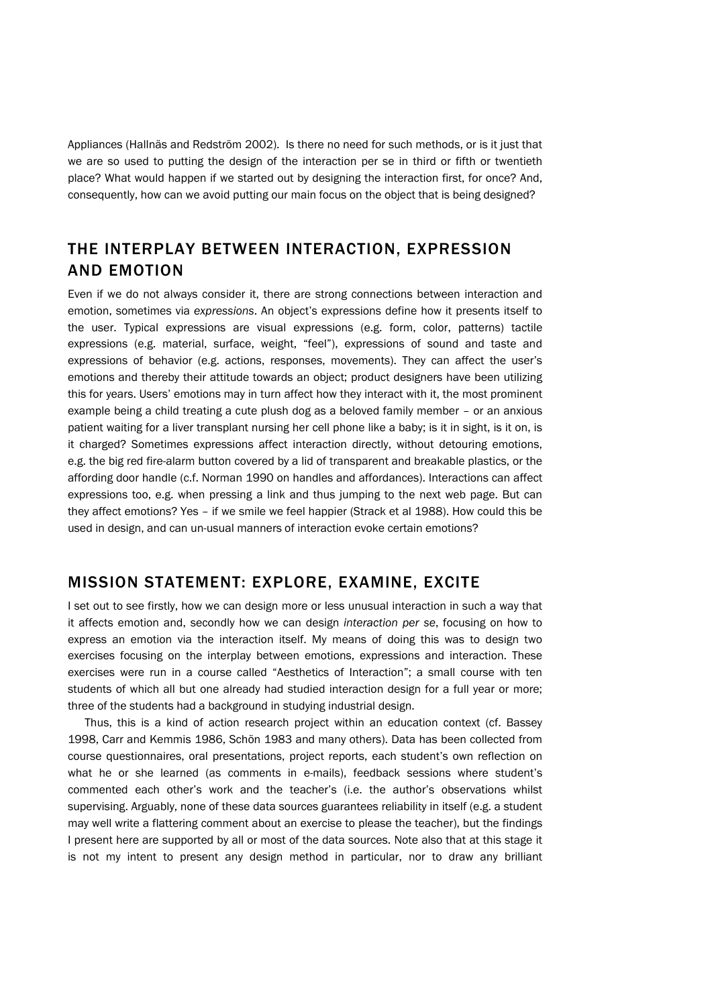Appliances (Hallnäs and Redström 2002). Is there no need for such methods, or is it just that we are so used to putting the design of the interaction per se in third or fifth or twentieth place? What would happen if we started out by designing the interaction first, for once? And, consequently, how can we avoid putting our main focus on the object that is being designed?

# THE INTERPLAY BETWEEN INTERACTION, EXPRESSION AND EMOTION

Even if we do not always consider it, there are strong connections between interaction and emotion, sometimes via *expressions*. An object's expressions define how it presents itself to the user. Typical expressions are visual expressions (e.g. form, color, patterns) tactile expressions (e.g. material, surface, weight, "feel"), expressions of sound and taste and expressions of behavior (e.g. actions, responses, movements). They can affect the user's emotions and thereby their attitude towards an object; product designers have been utilizing this for years. Users' emotions may in turn affect how they interact with it, the most prominent example being a child treating a cute plush dog as a beloved family member – or an anxious patient waiting for a liver transplant nursing her cell phone like a baby; is it in sight, is it on, is it charged? Sometimes expressions affect interaction directly, without detouring emotions, e.g. the big red fire-alarm button covered by a lid of transparent and breakable plastics, or the affording door handle (c.f. Norman 1990 on handles and affordances). Interactions can affect expressions too, e.g. when pressing a link and thus jumping to the next web page. But can they affect emotions? Yes – if we smile we feel happier (Strack et al 1988). How could this be used in design, and can un-usual manners of interaction evoke certain emotions?

## MISSION STATEMENT: EXPLORE, EXAMINE, EXCITE

I set out to see firstly, how we can design more or less unusual interaction in such a way that it affects emotion and, secondly how we can design *interaction per se*, focusing on how to express an emotion via the interaction itself. My means of doing this was to design two exercises focusing on the interplay between emotions, expressions and interaction. These exercises were run in a course called "Aesthetics of Interaction"; a small course with ten students of which all but one already had studied interaction design for a full year or more; three of the students had a background in studying industrial design.

 Thus, this is a kind of action research project within an education context (cf. Bassey 1998, Carr and Kemmis 1986, Schön 1983 and many others). Data has been collected from course questionnaires, oral presentations, project reports, each student's own reflection on what he or she learned (as comments in e-mails), feedback sessions where student's commented each other's work and the teacher's (i.e. the author's observations whilst supervising. Arguably, none of these data sources guarantees reliability in itself (e.g. a student may well write a flattering comment about an exercise to please the teacher), but the findings I present here are supported by all or most of the data sources. Note also that at this stage it is not my intent to present any design method in particular, nor to draw any brilliant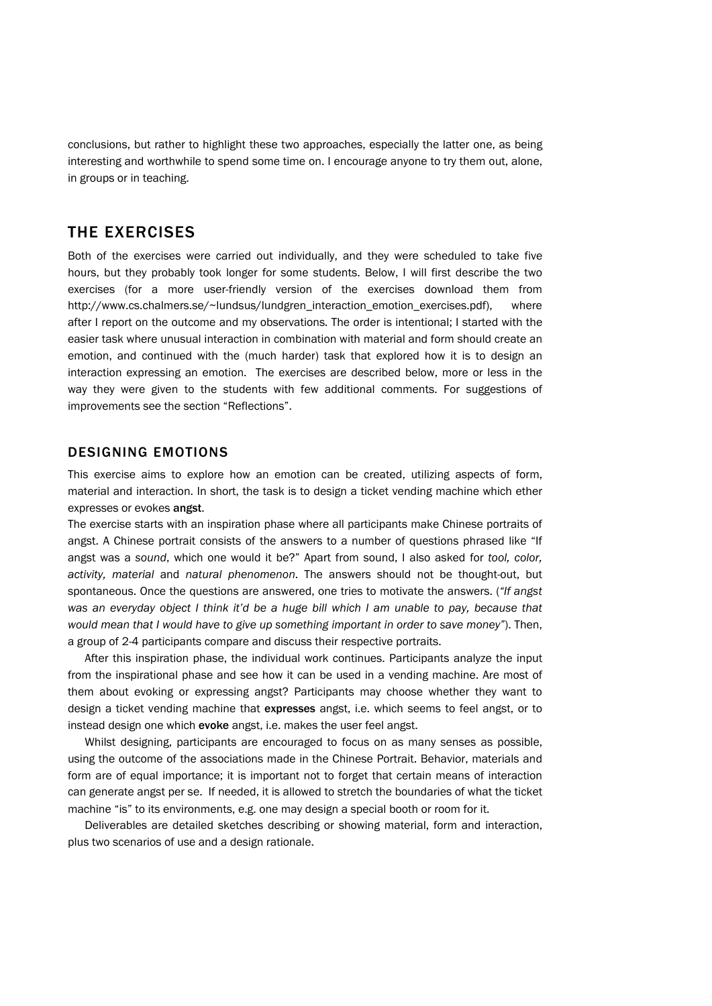conclusions, but rather to highlight these two approaches, especially the latter one, as being interesting and worthwhile to spend some time on. I encourage anyone to try them out, alone, in groups or in teaching.

# THE EXERCISES

Both of the exercises were carried out individually, and they were scheduled to take five hours, but they probably took longer for some students. Below, I will first describe the two exercises (for a more user-friendly version of the exercises download them from http://www.cs.chalmers.se/~lundsus/lundgren\_interaction\_emotion\_exercises.pdf), where after I report on the outcome and my observations. The order is intentional; I started with the easier task where unusual interaction in combination with material and form should create an emotion, and continued with the (much harder) task that explored how it is to design an interaction expressing an emotion. The exercises are described below, more or less in the way they were given to the students with few additional comments. For suggestions of improvements see the section "Reflections".

### DESIGNING EMOTIONS

This exercise aims to explore how an emotion can be created, utilizing aspects of form, material and interaction. In short, the task is to design a ticket vending machine which ether expresses or evokes angst.

The exercise starts with an inspiration phase where all participants make Chinese portraits of angst. A Chinese portrait consists of the answers to a number of questions phrased like "If angst was a *sound*, which one would it be?" Apart from sound, I also asked for *tool, color, activity, material* and *natural phenomenon*. The answers should not be thought-out, but spontaneous. Once the questions are answered, one tries to motivate the answers. (*"If angst*  was an everyday object I think it'd be a huge bill which I am unable to pay, because that *would mean that I would have to give up something important in order to save money"*). Then, a group of 2-4 participants compare and discuss their respective portraits.

After this inspiration phase, the individual work continues. Participants analyze the input from the inspirational phase and see how it can be used in a vending machine. Are most of them about evoking or expressing angst? Participants may choose whether they want to design a ticket vending machine that expresses angst, i.e. which seems to feel angst, or to instead design one which evoke angst, i.e. makes the user feel angst.

Whilst designing, participants are encouraged to focus on as many senses as possible, using the outcome of the associations made in the Chinese Portrait. Behavior, materials and form are of equal importance; it is important not to forget that certain means of interaction can generate angst per se. If needed, it is allowed to stretch the boundaries of what the ticket machine "is" to its environments, e.g. one may design a special booth or room for it.

Deliverables are detailed sketches describing or showing material, form and interaction, plus two scenarios of use and a design rationale.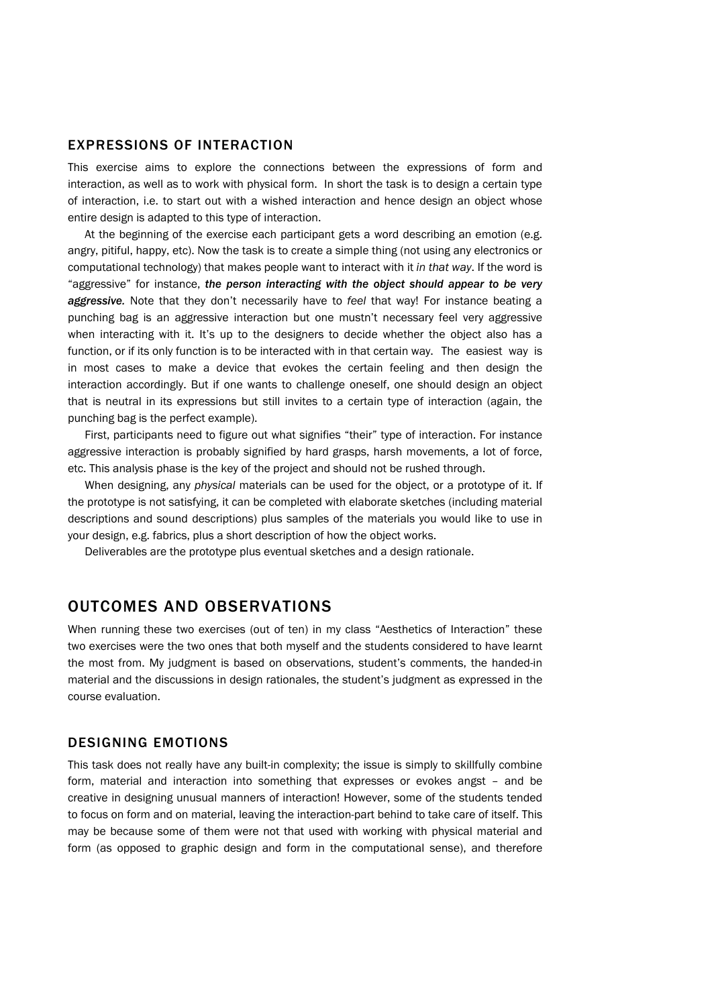## EXPRESSIONS OF INTERACTION

This exercise aims to explore the connections between the expressions of form and interaction, as well as to work with physical form. In short the task is to design a certain type of interaction, i.e. to start out with a wished interaction and hence design an object whose entire design is adapted to this type of interaction.

 At the beginning of the exercise each participant gets a word describing an emotion (e.g. angry, pitiful, happy, etc). Now the task is to create a simple thing (not using any electronics or computational technology) that makes people want to interact with it *in that way*. If the word is "aggressive" for instance, *the person interacting with the object should appear to be very aggressive.* Note that they don't necessarily have to *feel* that way! For instance beating a punching bag is an aggressive interaction but one mustn't necessary feel very aggressive when interacting with it. It's up to the designers to decide whether the object also has a function, or if its only function is to be interacted with in that certain way. The easiest way is in most cases to make a device that evokes the certain feeling and then design the interaction accordingly. But if one wants to challenge oneself, one should design an object that is neutral in its expressions but still invites to a certain type of interaction (again, the punching bag is the perfect example).

 First, participants need to figure out what signifies "their" type of interaction. For instance aggressive interaction is probably signified by hard grasps, harsh movements, a lot of force, etc. This analysis phase is the key of the project and should not be rushed through.

 When designing, any *physical* materials can be used for the object, or a prototype of it. If the prototype is not satisfying, it can be completed with elaborate sketches (including material descriptions and sound descriptions) plus samples of the materials you would like to use in your design, e.g. fabrics, plus a short description of how the object works.

Deliverables are the prototype plus eventual sketches and a design rationale.

## OUTCOMES AND OBSERVATIONS

When running these two exercises (out of ten) in my class "Aesthetics of Interaction" these two exercises were the two ones that both myself and the students considered to have learnt the most from. My judgment is based on observations, student's comments, the handed-in material and the discussions in design rationales, the student's judgment as expressed in the course evaluation.

## DESIGNING EMOTIONS

This task does not really have any built-in complexity; the issue is simply to skillfully combine form, material and interaction into something that expresses or evokes angst – and be creative in designing unusual manners of interaction! However, some of the students tended to focus on form and on material, leaving the interaction-part behind to take care of itself. This may be because some of them were not that used with working with physical material and form (as opposed to graphic design and form in the computational sense), and therefore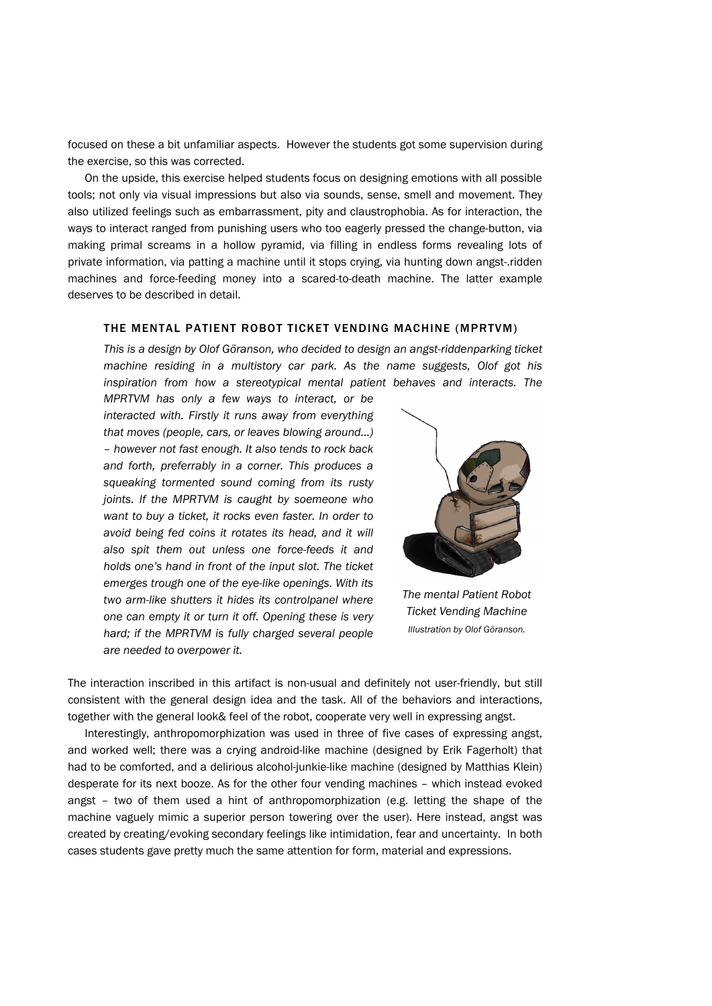focused on these a bit unfamiliar aspects. However the students got some supervision during the exercise, so this was corrected.

 On the upside, this exercise helped students focus on designing emotions with all possible tools; not only via visual impressions but also via sounds, sense, smell and movement. They also utilized feelings such as embarrassment, pity and claustrophobia. As for interaction, the ways to interact ranged from punishing users who too eagerly pressed the change-button, via making primal screams in a hollow pyramid, via filling in endless forms revealing lots of private information, via patting a machine until it stops crying, via hunting down angst-.ridden machines and force-feeding money into a scared-to-death machine. The latter example deserves to be described in detail.

#### THE MENTAL PATIENT ROBOT TICKET VENDING MACHINE (MPRTVM)

*This is a design by Olof Göranson, who decided to design an angst-riddenparking ticket machine residing in a multistory car park. As the name suggests, Olof got his inspiration from how a stereotypical mental patient behaves and interacts. The* 

*MPRTVM has only a few ways to interact, or be interacted with. Firstly it runs away from everything that moves (people, cars, or leaves blowing around…) – however not fast enough. It also tends to rock back and forth, preferrably in a corner. This produces a squeaking tormented sound coming from its rusty joints. If the MPRTVM is caught by soemeone who want to buy a ticket, it rocks even faster. In order to avoid being fed coins it rotates its head, and it will also spit them out unless one force-feeds it and holds one's hand in front of the input slot. The ticket emerges trough one of the eye-like openings. With its two arm-like shutters it hides its controlpanel where one can empty it or turn it off. Opening these is very hard; if the MPRTVM is fully charged several people are needed to overpower it.* 



*The mental Patient Robot Ticket Vending Machine Illustration by Olof Göranson.* 

The interaction inscribed in this artifact is non-usual and definitely not user-friendly, but still consistent with the general design idea and the task. All of the behaviors and interactions, together with the general look& feel of the robot, cooperate very well in expressing angst.

Interestingly, anthropomorphization was used in three of five cases of expressing angst, and worked well; there was a crying android-like machine (designed by Erik Fagerholt) that had to be comforted, and a delirious alcohol-junkie-like machine (designed by Matthias Klein) desperate for its next booze. As for the other four vending machines – which instead evoked angst – two of them used a hint of anthropomorphization (e.g. letting the shape of the machine vaguely mimic a superior person towering over the user). Here instead, angst was created by creating/evoking secondary feelings like intimidation, fear and uncertainty. In both cases students gave pretty much the same attention for form, material and expressions.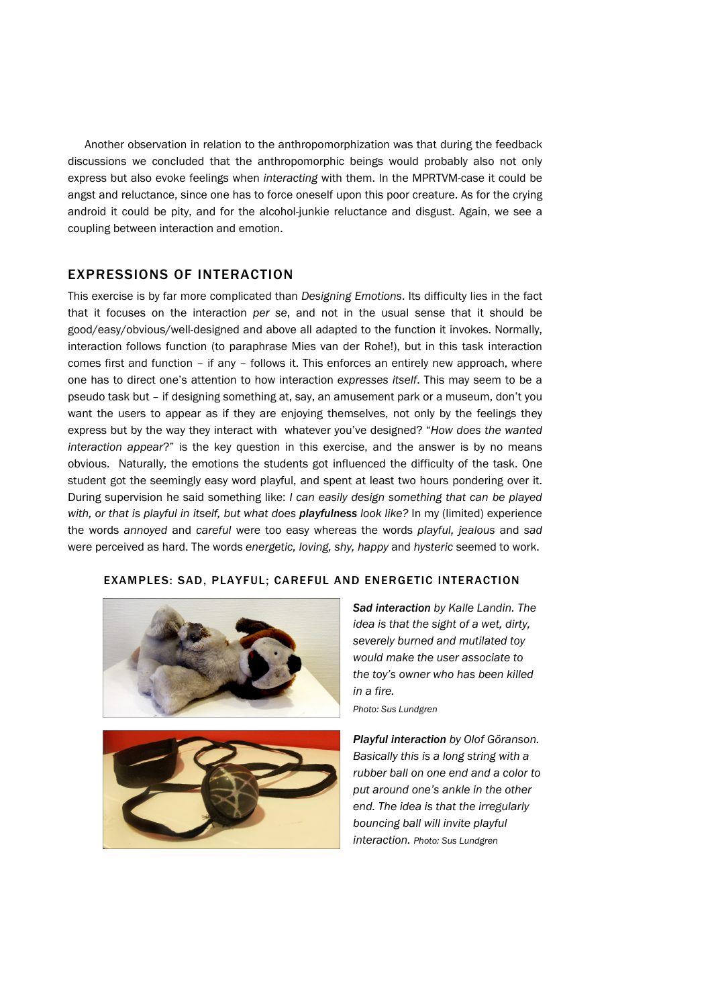Another observation in relation to the anthropomorphization was that during the feedback discussions we concluded that the anthropomorphic beings would probably also not only express but also evoke feelings when *interacting* with them. In the MPRTVM-case it could be angst and reluctance, since one has to force oneself upon this poor creature. As for the crying android it could be pity, and for the alcohol-junkie reluctance and disgust. Again, we see a coupling between interaction and emotion.

## EXPRESSIONS OF INTERACTION

This exercise is by far more complicated than *Designing Emotions*. Its difficulty lies in the fact that it focuses on the interaction *per se*, and not in the usual sense that it should be good/easy/obvious/well-designed and above all adapted to the function it invokes. Normally, interaction follows function (to paraphrase Mies van der Rohe!), but in this task interaction comes first and function – if any – follows it. This enforces an entirely new approach, where one has to direct one's attention to how interaction *expresses itself*. This may seem to be a pseudo task but – if designing something at, say, an amusement park or a museum, don't you want the users to appear as if they are enjoying themselves, not only by the feelings they express but by the way they interact with whatever you've designed? "*How does the wanted interaction appear*?" is the key question in this exercise, and the answer is by no means obvious. Naturally, the emotions the students got influenced the difficulty of the task. One student got the seemingly easy word playful, and spent at least two hours pondering over it. During supervision he said something like: *I can easily design something that can be played with, or that is playful in itself, but what does playfulness look like?* In my (limited) experience the words *annoyed* and *careful* were too easy whereas the words *playful, jealous* and *sad* were perceived as hard. The words *energetic, loving, shy, happy* and *hysteric* seemed to work.

#### EXAMPLES: SAD, PLAYFUL; CAREFUL AND ENERGETIC INTERACTION





*Sad interaction by Kalle Landin. The idea is that the sight of a wet, dirty, severely burned and mutilated toy would make the user associate to the toy's owner who has been killed in a fire.* 

*Photo: Sus Lundgren*

*Playful interaction by Olof Göranson. Basically this is a long string with a rubber ball on one end and a color to put around one's ankle in the other end. The idea is that the irregularly bouncing ball will invite playful interaction. Photo: Sus Lundgren*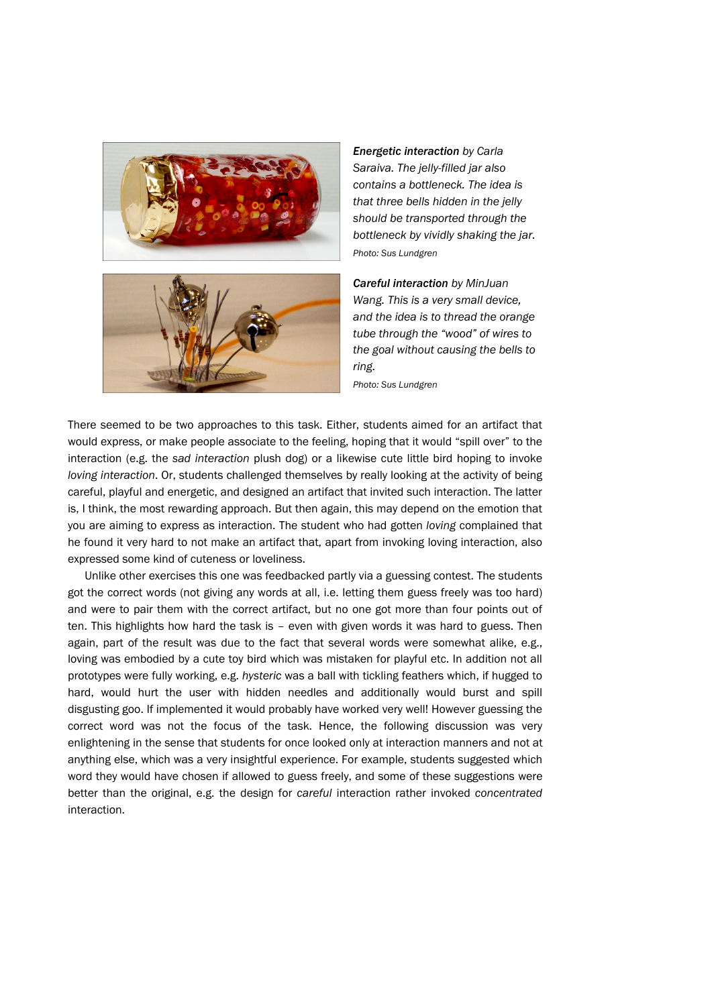



*Energetic interaction by Carla Saraiva. The jelly-filled jar also contains a bottleneck. The idea is that three bells hidden in the jelly should be transported through the bottleneck by vividly shaking the jar. Photo: Sus Lundgren*

*Careful interaction by MinJuan Wang. This is a very small device, and the idea is to thread the orange tube through the "wood" of wires to the goal without causing the bells to ring.* 

*Photo: Sus Lundgren*

There seemed to be two approaches to this task. Either, students aimed for an artifact that would express, or make people associate to the feeling, hoping that it would "spill over" to the interaction (e.g. the *sad interaction* plush dog) or a likewise cute little bird hoping to invoke *loving interaction*. Or, students challenged themselves by really looking at the activity of being careful, playful and energetic, and designed an artifact that invited such interaction. The latter is, I think, the most rewarding approach. But then again, this may depend on the emotion that you are aiming to express as interaction. The student who had gotten *loving* complained that he found it very hard to not make an artifact that, apart from invoking loving interaction, also expressed some kind of cuteness or loveliness.

Unlike other exercises this one was feedbacked partly via a guessing contest. The students got the correct words (not giving any words at all, i.e. letting them guess freely was too hard) and were to pair them with the correct artifact, but no one got more than four points out of ten. This highlights how hard the task is – even with given words it was hard to guess. Then again, part of the result was due to the fact that several words were somewhat alike, e.g., loving was embodied by a cute toy bird which was mistaken for playful etc. In addition not all prototypes were fully working, e.g. *hysteric* was a ball with tickling feathers which, if hugged to hard, would hurt the user with hidden needles and additionally would burst and spill disgusting goo. If implemented it would probably have worked very well! However guessing the correct word was not the focus of the task. Hence, the following discussion was very enlightening in the sense that students for once looked only at interaction manners and not at anything else, which was a very insightful experience. For example, students suggested which word they would have chosen if allowed to guess freely, and some of these suggestions were better than the original, e.g. the design for *careful* interaction rather invoked *concentrated* interaction.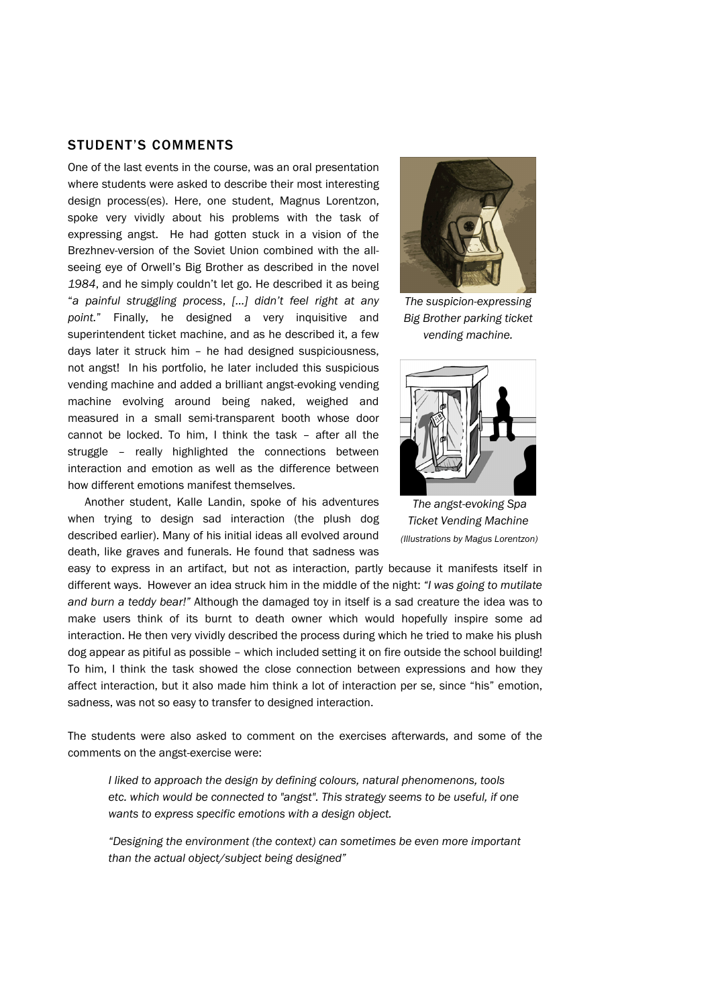## STUDENT'S COMMENTS

One of the last events in the course, was an oral presentation where students were asked to describe their most interesting design process(es). Here, one student, Magnus Lorentzon, spoke very vividly about his problems with the task of expressing angst. He had gotten stuck in a vision of the Brezhnev-version of the Soviet Union combined with the allseeing eye of Orwell's Big Brother as described in the novel *1984*, and he simply couldn't let go. He described it as being "*a painful struggling process*, *[…] didn't feel right at any point.*" Finally, he designed a very inquisitive and superintendent ticket machine, and as he described it, a few days later it struck him – he had designed suspiciousness, not angst! In his portfolio, he later included this suspicious vending machine and added a brilliant angst-evoking vending machine evolving around being naked, weighed and measured in a small semi-transparent booth whose door cannot be locked. To him, I think the task – after all the struggle – really highlighted the connections between interaction and emotion as well as the difference between how different emotions manifest themselves.

Another student, Kalle Landin, spoke of his adventures when trying to design sad interaction (the plush dog described earlier). Many of his initial ideas all evolved around death, like graves and funerals. He found that sadness was



*The suspicion-expressing Big Brother parking ticket vending machine.* 



 *The angst-evoking Spa Ticket Vending Machine (Illustrations by Magus Lorentzon)*

easy to express in an artifact, but not as interaction, partly because it manifests itself in different ways. However an idea struck him in the middle of the night: *"I was going to mutilate and burn a teddy bear!"* Although the damaged toy in itself is a sad creature the idea was to make users think of its burnt to death owner which would hopefully inspire some ad interaction. He then very vividly described the process during which he tried to make his plush dog appear as pitiful as possible – which included setting it on fire outside the school building! To him, I think the task showed the close connection between expressions and how they affect interaction, but it also made him think a lot of interaction per se, since "his" emotion, sadness, was not so easy to transfer to designed interaction.

The students were also asked to comment on the exercises afterwards, and some of the comments on the angst-exercise were:

*I liked to approach the design by defining colours, natural phenomenons, tools etc. which would be connected to "angst". This strategy seems to be useful, if one wants to express specific emotions with a design object.* 

*"Designing the environment (the context) can sometimes be even more important than the actual object/subject being designed"*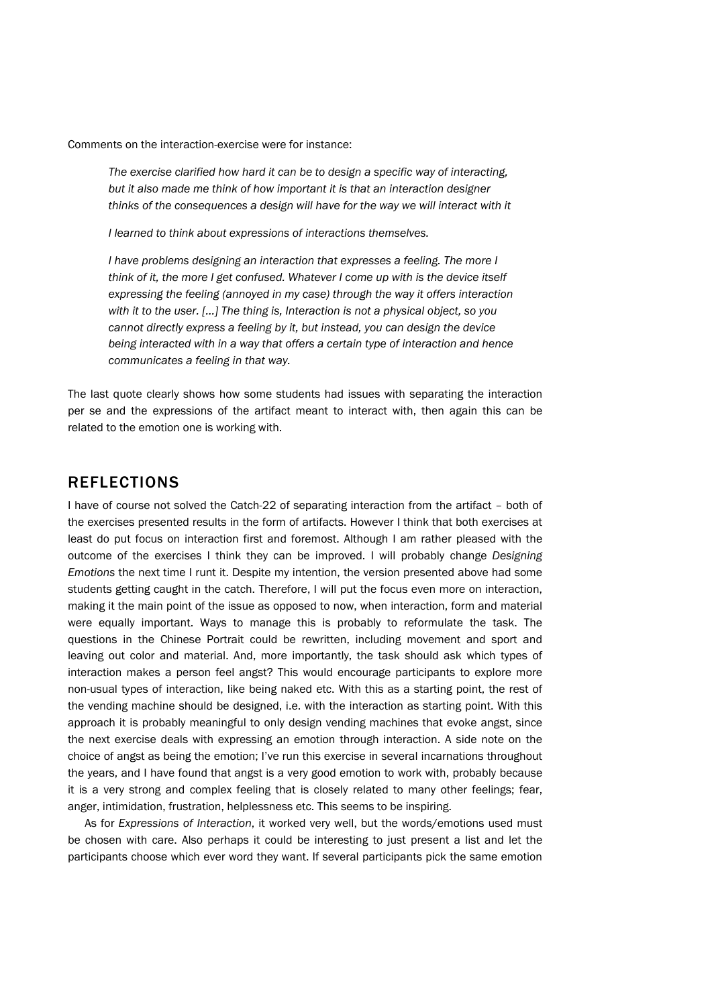Comments on the interaction-exercise were for instance:

*The exercise clarified how hard it can be to design a specific way of interacting, but it also made me think of how important it is that an interaction designer*  thinks of the consequences a design will have for the way we will interact with it

*I learned to think about expressions of interactions themselves.* 

*I have problems designing an interaction that expresses a feeling. The more I think of it, the more I get confused. Whatever I come up with is the device itself expressing the feeling (annoyed in my case) through the way it offers interaction with it to the user. [...] The thing is, Interaction is not a physical object, so you cannot directly express a feeling by it, but instead, you can design the device being interacted with in a way that offers a certain type of interaction and hence communicates a feeling in that way.* 

The last quote clearly shows how some students had issues with separating the interaction per se and the expressions of the artifact meant to interact with, then again this can be related to the emotion one is working with.

## REFLECTIONS

I have of course not solved the Catch-22 of separating interaction from the artifact – both of the exercises presented results in the form of artifacts. However I think that both exercises at least do put focus on interaction first and foremost. Although I am rather pleased with the outcome of the exercises I think they can be improved. I will probably change *Designing Emotions* the next time I runt it. Despite my intention, the version presented above had some students getting caught in the catch. Therefore, I will put the focus even more on interaction, making it the main point of the issue as opposed to now, when interaction, form and material were equally important. Ways to manage this is probably to reformulate the task. The questions in the Chinese Portrait could be rewritten, including movement and sport and leaving out color and material. And, more importantly, the task should ask which types of interaction makes a person feel angst? This would encourage participants to explore more non-usual types of interaction, like being naked etc. With this as a starting point, the rest of the vending machine should be designed, i.e. with the interaction as starting point. With this approach it is probably meaningful to only design vending machines that evoke angst, since the next exercise deals with expressing an emotion through interaction. A side note on the choice of angst as being the emotion; I've run this exercise in several incarnations throughout the years, and I have found that angst is a very good emotion to work with, probably because it is a very strong and complex feeling that is closely related to many other feelings; fear, anger, intimidation, frustration, helplessness etc. This seems to be inspiring.

As for *Expressions of Interaction*, it worked very well, but the words/emotions used must be chosen with care. Also perhaps it could be interesting to just present a list and let the participants choose which ever word they want. If several participants pick the same emotion